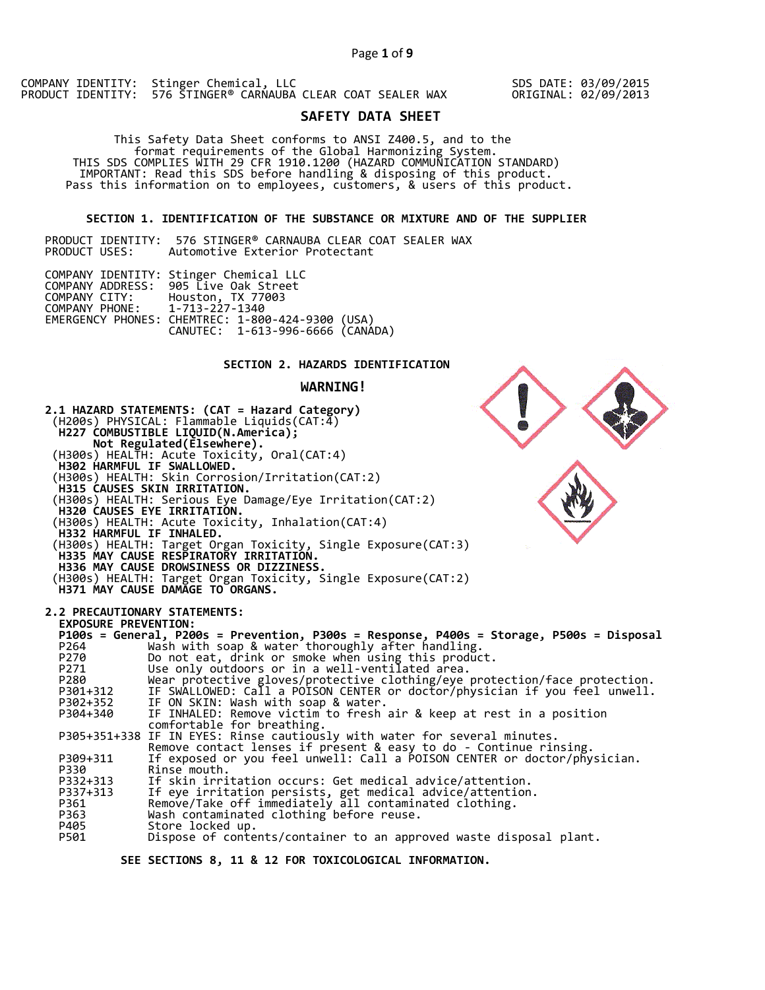COMPANY IDENTITY: Stinger Chemical, LLC PRODUCT IDENTITY: 576 STINGER® CARNAUBA CLEAR COAT SEALER WAX

SDS DATE: 03/09/2015 ORIGINAL: 02/09/2013

# **SAFETY DATA SHEET**

 This Safety Data Sheet conforms to ANSI Z400.5, and to the format requirements of the Global Harmonizing System. THIS SDS COMPLIES WITH 29 CFR 1910.1200 (HAZARD COMMUNICATION STANDARD) IMPORTANT: Read this SDS before handling & disposing of this product. Pass this information on to employees, customers, & users of this product.

### **SECTION 1. IDENTIFICATION OF THE SUBSTANCE OR MIXTURE AND OF THE SUPPLIER**

|               | PRODUCT IDENTITY:  576 STINGER® CARNAUBA CLEAR COAT SEALER WAX |  |                                |  |  |  |
|---------------|----------------------------------------------------------------|--|--------------------------------|--|--|--|
| PRODUCT USES: |                                                                |  | Automotive Exterior Protectant |  |  |  |

|                                                | COMPANY IDENTITY: Stinger Chemical LLC<br>COMPANY ADDRESS: 905 Live Oak Street       |  |
|------------------------------------------------|--------------------------------------------------------------------------------------|--|
| COMPANY CITY:<br>COMPANY PHONE: 1-713-227-1340 | Houston, TX 77003                                                                    |  |
|                                                | EMERGENCY PHONES: CHEMTREC: 1-800-424-9300 (USA)<br>CANUTEC: 1-613-996-6666 (CANÁDA) |  |

# **SECTION 2. HAZARDS IDENTIFICATION**

### **WARNING!**



 **SEE SECTIONS 8, 11 & 12 FOR TOXICOLOGICAL INFORMATION.**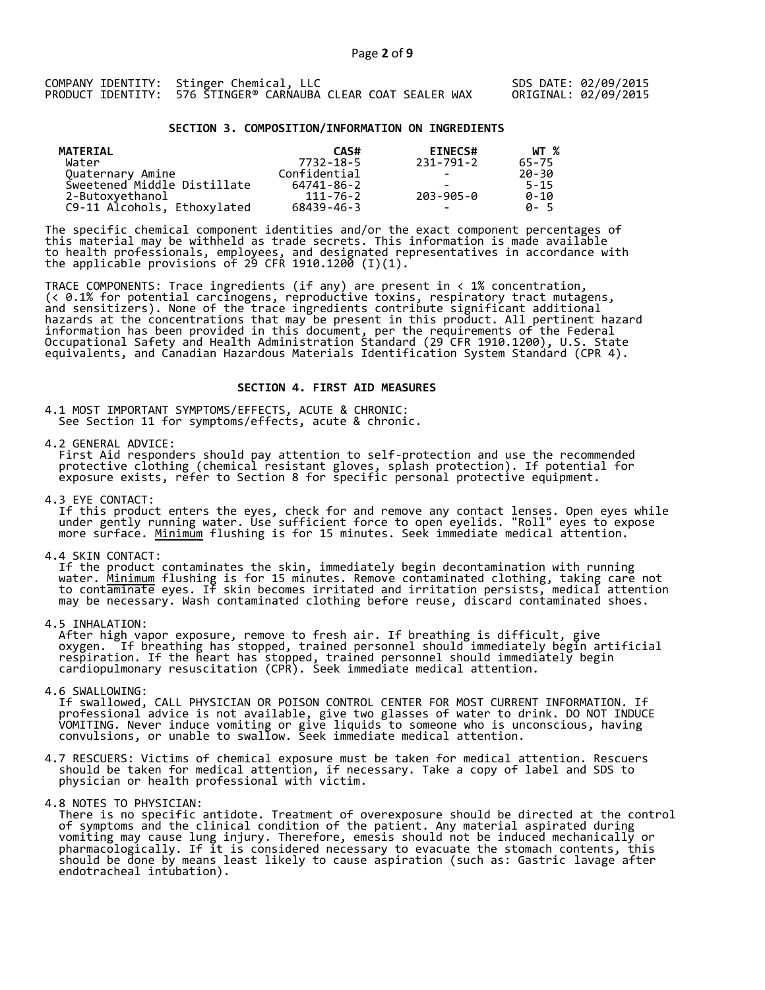### **SECTION 3. COMPOSITION/INFORMATION ON INGREDIENTS**

| MATERIAL                    | CAS#           | <b>EINECS#</b>           | WT %     |
|-----------------------------|----------------|--------------------------|----------|
| Water                       | 7732-18-5      | 231-791-2                | 65-75    |
| Quaternary Amine            | Confidential   | $\overline{\phantom{0}}$ | 20-30    |
| Sweetened Middle Distillate | 64741-86-2     | -                        | $5 - 15$ |
| 2-Butoxyethanol             | $111 - 76 - 2$ | 203-905-0                | $0 - 10$ |
| C9-11 Alcohols, Ethoxylated | 68439-46-3     | $\overline{\phantom{0}}$ | A-5      |

The specific chemical component identities and/or the exact component percentages of this material may be withheld as trade secrets. This information is made available to health professionals, employees, and designated representatives in accordance with the applicable provisions of 29 CFR 1910.1200̄ (I)(1).  $\overline{\phantom{a}}$ 

TRACE COMPONENTS: Trace ingredients (if any) are present in < 1% concentration, (< 0.1% for potential carcinogens, reproductive toxins, respiratory tract mutagens, and sensitizers). None of the trace ingredients contribute significant additional hazards at the concentrations that may be present in this product. All pertinent hazard information has been provided in this document, per the requirements of the Federal Occupational Safety and Health Administration Standard (29 CFR 1910.1200), U.S. State equivalents, and Canadian Hazardous Materials Identification System Standard (CPR 4).

### **SECTION 4. FIRST AID MEASURES**

4.1 MOST IMPORTANT SYMPTOMS/EFFECTS, ACUTE & CHRONIC: See Section 11 for symptoms/effects, acute & chronic.

4.2 GENERAL ADVICE:

 First Aid responders should pay attention to self-protection and use the recommended protective clothing (chemical resistant gloves, splash protection). If potential for exposure exists, refer to Section 8 for specific personal protective equipment.

4.3 EYE CONTACT:

 If this product enters the eyes, check for and remove any contact lenses. Open eyes while under gently running water. Use sufficient force to open eyelids. "Roll" eyes to expose more surface. <u>Minimum</u> flushing is for 15 minutes. Seek immediate medical attention.

4.4 SKIN CONTACT:

 If the product contaminates the skin, immediately begin decontamination with running water. <u>Minimum</u> flushing is for 15 minutes. Remove contaminated clothing, taking care not to contaminate eyes. If skin becomes irritated and irritation persists, medical attention may be necessary. Wash contaminated clothing before reuse, discard contaminated shoes.

4.5 INHALATION:

 After high vapor exposure, remove to fresh air. If breathing is difficult, give oxygen. If breathing has stopped, trained personnel should immediately begin artificial respiration. If the heart has stopped, trained personnel should immediately begin cardiopulmonary resuscitation (CPR). Seek immediate medical attention.

4.6 SWALLOWING:

 If swallowed, CALL PHYSICIAN OR POISON CONTROL CENTER FOR MOST CURRENT INFORMATION. If professional advice is not available, give two glasses of water to drink. DO NOT INDUCE VOMITING. Never induce vomiting or give liquids to someone who is unconscious, having convulsions, or unable to swallow. Seek immediate medical attention.

- 4.7 RESCUERS: Victims of chemical exposure must be taken for medical attention. Rescuers should be taken for medical attention, if necessary. Take a copy of label and SDS to physician or health professional with victim.
- 4.8 NOTES TO PHYSICIAN:
- There is no specific antidote. Treatment of overexposure should be directed at the control of symptoms and the clinical condition of the patient. Any material aspirated during vomiting may cause lung injury. Therefore, emesis should not be induced mechanically or pharmacologically. If it is considered necessary to evacuate the stomach contents, this should be done by means least likely to cause aspiration (such as: Gastric lavage after endotracheal intubation).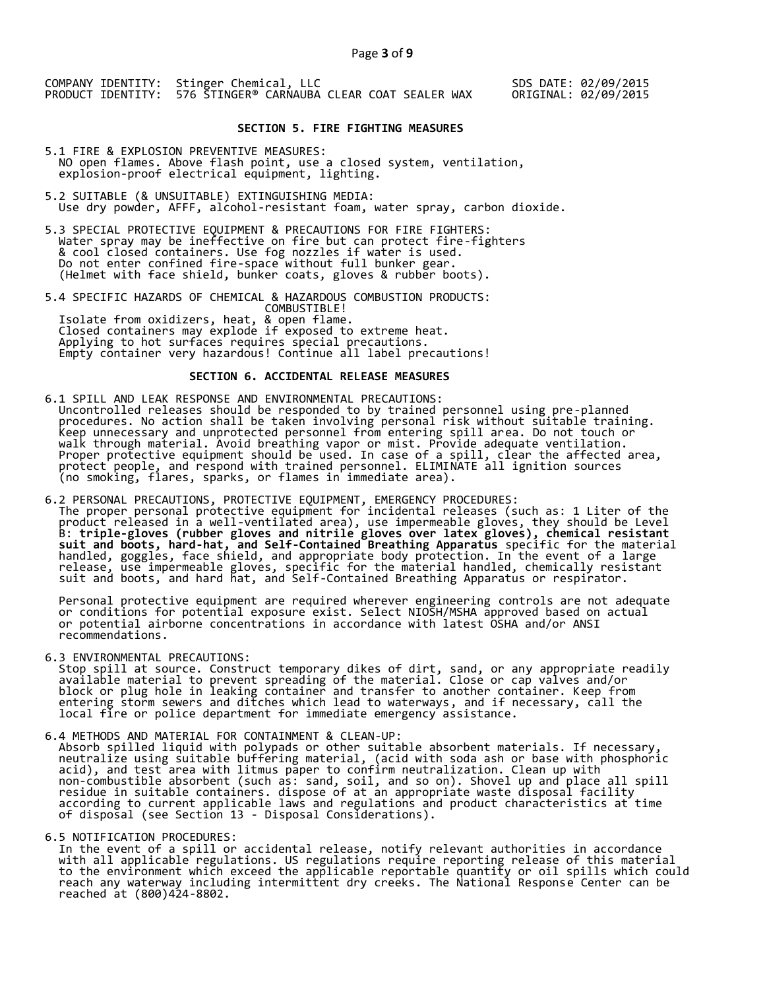### **SECTION 5. FIRE FIGHTING MEASURES**

- 5.1 FIRE & EXPLOSION PREVENTIVE MEASURES: NO open flames. Above flash point, use a closed system, ventilation, explosion-proof electrical equipment, lighting.
- 5.2 SUITABLE (& UNSUITABLE) EXTINGUISHING MEDIA: Use dry powder, AFFF, alcohol-resistant foam, water spray, carbon dioxide.
- 5.3 SPECIAL PROTECTIVE EQUIPMENT & PRECAUTIONS FOR FIRE FIGHTERS: Water spray may be ineffective on fire but can protect fire-fighters & cool closed containers. Use fog nozzles if water is used. Do not enter confined fire-space without full bunker gear. (Helmet with face shield, bunker coats, gloves & rubber boots).
- 5.4 SPECIFIC HAZARDS OF CHEMICAL & HAZARDOUS COMBUSTION PRODUCTS: COMBUSTIBLE! Isolate from oxidizers, heat, & open flame. Closed containers may explode if exposed to extreme heat. Applying to hot surfaces requires special precautions. Empty container very hazardous! Continue all label precautions!

# **SECTION 6. ACCIDENTAL RELEASE MEASURES**

- 6.1 SPILL AND LEAK RESPONSE AND ENVIRONMENTAL PRECAUTIONS: Uncontrolled releases should be responded to by trained personnel using pre-planned procedures. No action shall be taken involving personal risk without suitable training. Keep unnecessary and unprotected personnel from entering spill area. Do not touch or walk through material. Avoid breathing vapor or mist. Provide adequate ventilation. Proper protective equipment should be used. In case of a spill, clear the affected area, protect people, and respond with trained personnel. ELIMINATE all ignition sources (no smoking, flares, sparks, or flames in immediate area).
- 6.2 PERSONAL PRECAUTIONS, PROTECTIVE EQUIPMENT, EMERGENCY PROCEDURES: The proper personal protective equipment for incidental releases (such as: 1 Liter of the product released in a well-ventilated area), use impermeable gloves, they should be Level B: **triple-gloves (rubber gloves and nitrile gloves over latex gloves), chemical resistant suit and boots, hard-hat, and Self-Contained Breathing Apparatus** specific for the material handled, goggles, face shield, and appropriate body protection. In the event of a large release, use impermeable gloves, specific for the material handled, chemically resistant suit and boots, and hard hat, and Self-Contained Breathing Apparatus or respirator.

 Personal protective equipment are required wherever engineering controls are not adequate or conditions for potential exposure exist. Select NIOSH/MSHA approved based on actual or potential airborne concentrations in accordance with latest OSHA and/or ANSI recommendations.

6.3 ENVIRONMENTAL PRECAUTIONS:

 Stop spill at source. Construct temporary dikes of dirt, sand, or any appropriate readily available material to prevent spreading of the material. Close or cap valves and/or block or plug hole in leaking container and transfer to another container. Keep from entering storm sewers and ditches which lead to waterways, and if necessary, call the local fire or police department for immediate emergency assistance.

6.4 METHODS AND MATERIAL FOR CONTAINMENT & CLEAN-UP:

 Absorb spilled liquid with polypads or other suitable absorbent materials. If necessary, neutralize using suitable buffering material, (acid with soda ash or base with phosphoric acid), and test area with litmus paper to confirm neutralization. Clean up with non-combustible absorbent (such as: sand, soil, and so on). Shovel up and place all spill residue in suitable containers. dispose of at an appropriate waste disposal facility according to current applicable laws and regulations and product characteristics at time of disposal (see Section 13 - Disposal Considerations).

6.5 NOTIFICATION PROCEDURES:

 In the event of a spill or accidental release, notify relevant authorities in accordance with all applicable regulations. US regulations require reporting release of this material to the environment which exceed the applicable reportable quantity or oil spills which could reach any waterway including intermittent dry creeks. The National Response Center can be reached at (800)424-8802.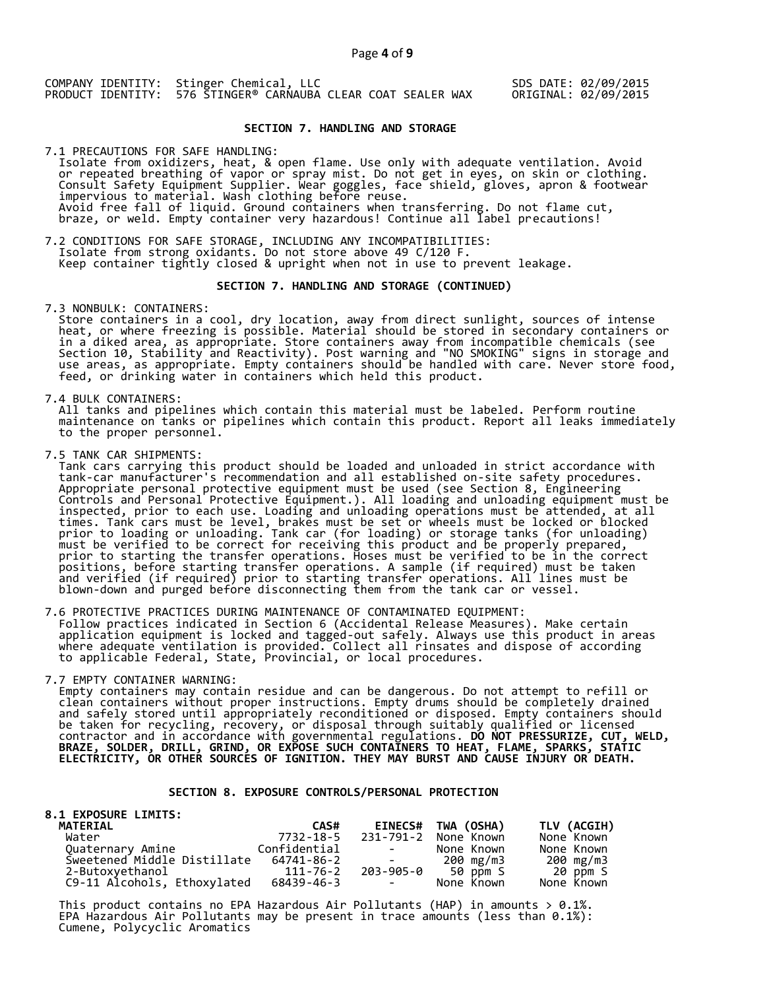## **SECTION 7. HANDLING AND STORAGE**

7.1 PRECAUTIONS FOR SAFE HANDLING: Isolate from oxidizers, heat, & open flame. Use only with adequate ventilation. Avoid or repeated breathing of vapor or spray mist. Do not get in eyes, on skin or clothing. Consult Safety Equipment Supplier. Wear goggles, face shield, gloves, apron & footwear impervious to material. Wash clothing before reuse. Avoid free fall of liquid. Ground containers when transferring. Do not flame cut, braze, or weld. Empty container very hazardous! Continue all label precautions!

7.2 CONDITIONS FOR SAFE STORAGE, INCLUDING ANY INCOMPATIBILITIES: Isolate from strong oxidants. Do not store above 49 C/120 F. Keep container tightly closed & upright when not in use to prevent leakage.

### **SECTION 7. HANDLING AND STORAGE (CONTINUED)**

7.3 NONBULK: CONTAINERS:

 Store containers in a cool, dry location, away from direct sunlight, sources of intense heat, or where freezing is possible. Material should be stored in secondary containers or in a diked area, as appropriate. Store containers away from incompatible chemicals (see Section 10, Stability and Reactivity). Post warning and "NO SMOKING" signs in storage and use areas, as appropriate. Empty containers should be handled with care. Never store food, feed, or drinking water in containers which held this product.

7.4 BULK CONTAINERS:

 All tanks and pipelines which contain this material must be labeled. Perform routine maintenance on tanks or pipelines which contain this product. Report all leaks immediately to the proper personnel.

7.5 TANK CAR SHIPMENTS:

 Tank cars carrying this product should be loaded and unloaded in strict accordance with tank-car manufacturer's recommendation and all established on-site safety procedures. Appropriate personal protective equipment must be used (see Section 8, Engineering Controls and Personal Protective Equipment.). All loading and unloading equipment must be inspected, prior to each use. Loading and unloading operations must be attended, at all times. Tank cars must be level, brakes must be set or wheels must be locked or blocked prior to loading or unloading. Tank car (for loading) or storage tanks (for unloading) must be verified to be correct for receiving this product and be properly prepared, prior to starting the transfer operations. Hoses must be verified to be in the correct positions, before starting transfer operations. A sample (if required) must be taken and verified (if required) prior to starting transfer operations. All lines must be blown-down and purged before disconnecting them from the tank car or vessel.

7.6 PROTECTIVE PRACTICES DURING MAINTENANCE OF CONTAMINATED EQUIPMENT: Follow practices indicated in Section 6 (Accidental Release Measures). Make certain application equipment is locked and tagged-out safely. Always use this product in areas where adequate ventilation is provided. Collect all rinsates and dispose of according to applicable Federal, State, Provincial, or local procedures.

7.7 EMPTY CONTAINER WARNING:

 Empty containers may contain residue and can be dangerous. Do not attempt to refill or clean containers without proper instructions. Empty drums should be completely drained and safely stored until appropriately reconditioned or disposed. Empty containers should be taken for recycling, recovery, or disposal through suitably qualified or licensed contractor and in accordance with governmental regulations. **DO NOT PRESSURIZE, CUT, WELD, BRAZE, SOLDER, DRILL, GRIND, OR EXPOSE SUCH CONTAINERS TO HEAT, FLAME, SPARKS, STATIC ELECTRICITY, OR OTHER SOURCES OF IGNITION. THEY MAY BURST AND CAUSE INJURY OR DEATH.**

### **SECTION 8. EXPOSURE CONTROLS/PERSONAL PROTECTION**

| <b>8.1 EXPOSURE LIMITS:</b> |              |                                                                                                   |                    |             |
|-----------------------------|--------------|---------------------------------------------------------------------------------------------------|--------------------|-------------|
| <b>MATERIAL</b>             | CAS#         |                                                                                                   | EINECS# TWA (OSHA) | TLV (ACGIH) |
| Water                       | 7732-18-5    | 231-791-2                                                                                         | None Known         | None Known  |
| Quaternary Amine            | Confidential | <b>Contract Contract</b>                                                                          | None Known         | None Known  |
| Sweetened Middle Distillate | 64741-86-2   | $\mathcal{L}_{\text{max}}$ and $\mathcal{L}_{\text{max}}$ . The set of $\mathcal{L}_{\text{max}}$ | 200 mg/m3          | 200 mg/m3   |
| 2-Butoxyethanol             | 111-76-2     |                                                                                                   | 203-905-0 50 ppm S | 20 ppm S    |
| C9-11 Alcohols, Ethoxylated | 68439-46-3   | <b>Contract Contract</b>                                                                          | None Known         | None Known  |

This product contains no EPA Hazardous Air Pollutants (HAP) in amounts  $> 0.1\%$ . EPA Hazardous Air Pollutants may be present in trace amounts (less than 0.1%): Cumene, Polycyclic Aromatics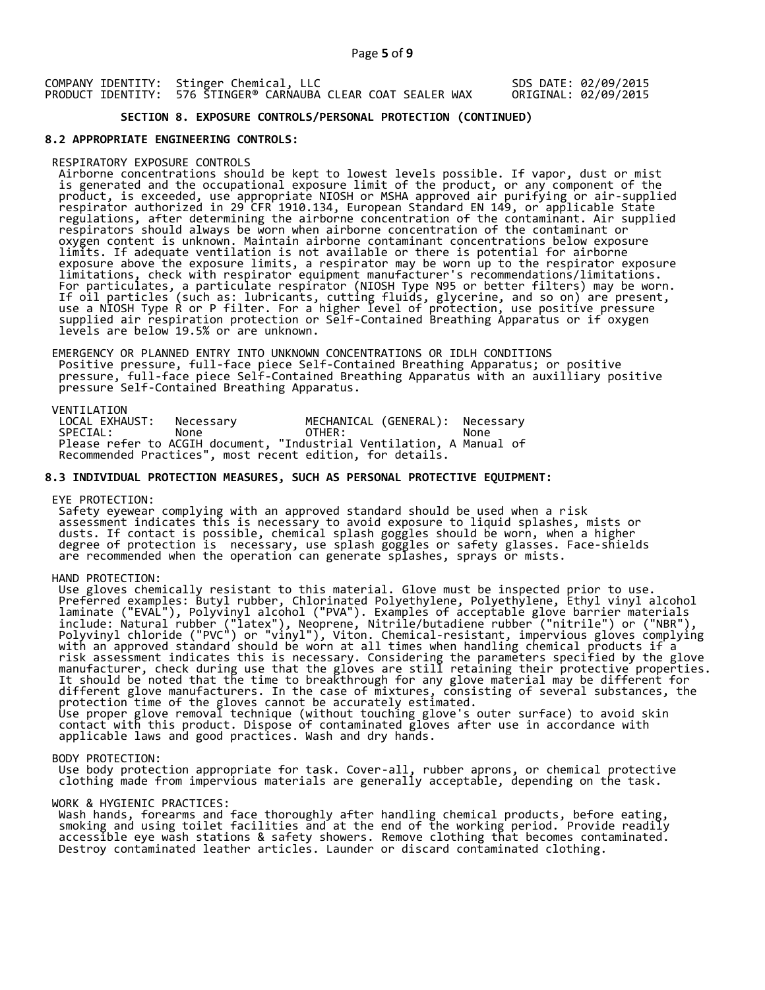# **SECTION 8. EXPOSURE CONTROLS/PERSONAL PROTECTION (CONTINUED)**

#### **8.2 APPROPRIATE ENGINEERING CONTROLS:**

#### RESPIRATORY EXPOSURE CONTROLS

 Airborne concentrations should be kept to lowest levels possible. If vapor, dust or mist is generated and the occupational exposure limit of the product, or any component of the product, is exceeded, use appropriate NIOSH or MSHA approved air purifying or air-supplied respirator authorized in 29 CFR 1910.134, European Standard EN 149, or applicable State regulations, after determining the airborne concentration of the contaminant. Air supplied respirators should always be worn when airborne concentration of the contaminant or oxygen content is unknown. Maintain airborne contaminant concentrations below exposure limits. If adequate ventilation is not available or there is potential for airborne exposure above the exposure limits, a respirator may be worn up to the respirator exposure limitations, check with respirator equipment manufacturer's recommendations/limitations. For particulates, a particulate respirator (NIOSH Type N95 or better filters) may be worn. If oil particles (such as: lubricants, cutting fluids, glycerine, and so on) are present, use a NIOSH Type R or P filter. For a higher level of protection, use positive pressure supplied air respiration protection or Self-Contained Breathing Apparatus or if oxygen levels are below 19.5% or are unknown.

 EMERGENCY OR PLANNED ENTRY INTO UNKNOWN CONCENTRATIONS OR IDLH CONDITIONS Positive pressure, full-face piece Self-Contained Breathing Apparatus; or positive pressure, full-face piece Self-Contained Breathing Apparatus with an auxilliary positive pressure Self-Contained Breathing Apparatus.

VENTILATION<br>LOCAL EXHAUST: LOCAL EXHAUST: Necessary MECHANICAL (GENERAL): Necessary<br>SPECIAL: None OTHER: None SPECIAL: None OTHER: None Please refer to ACGIH document, "Industrial Ventilation, A Manual of Recommended Practices", most recent edition, for details.

#### **8.3 INDIVIDUAL PROTECTION MEASURES, SUCH AS PERSONAL PROTECTIVE EQUIPMENT:**

EYE PROTECTION:

 Safety eyewear complying with an approved standard should be used when a risk assessment indicates this is necessary to avoid exposure to liquid splashes, mists or dusts. If contact is possible, chemical splash goggles should be worn, when a higher degree of protection is necessary, use splash goggles or safety glasses. Face-shields are recommended when the operation can generate splashes, sprays or mists.

HAND PROTECTION:

 Use gloves chemically resistant to this material. Glove must be inspected prior to use. Preferred examples: Butyl rubber, Chlorinated Polyethylene, Polyethylene, Ethyl vinyl alcohol laminate ("EVAL"), Polyvinyl alcohol ("PVA"). Examples of acceptable glove barrier materials include: Natural rubber ("latex"), Neoprene, Nitrile/butadiene rubber ("nitrile") or ("NBR"), Polyvinyl chloride ("PVC") or "vinyl"), Viton. Chemical-resistant, impervious gloves complying with an approved standard should be worn at all times when handling chemical products if a risk assessment indicates this is necessary. Considering the parameters specified by the glove manufacturer, check during use that the gloves are still retaining their protective properties. It should be noted that the time to breakthrough for any glove material may be different for different glove manufacturers. In the case of mixtures, consisting of several substances, the protection time of the gloves cannot be accurately estimated. Use proper glove removal technique (without touching glove's outer surface) to avoid skin contact with this product. Dispose of contaminated gloves after use in accordance with applicable laws and good practices. Wash and dry hands.

#### BODY PROTECTION:

 Use body protection appropriate for task. Cover-all, rubber aprons, or chemical protective clothing made from impervious materials are generally acceptable, depending on the task.

#### WORK & HYGIENIC PRACTICES:

 Wash hands, forearms and face thoroughly after handling chemical products, before eating, smoking and using toilet facilities and at the end of the working period. Provide readily accessible eye wash stations & safety showers. Remove clothing that becomes contaminated. Destroy contaminated leather articles. Launder or discard contaminated clothing.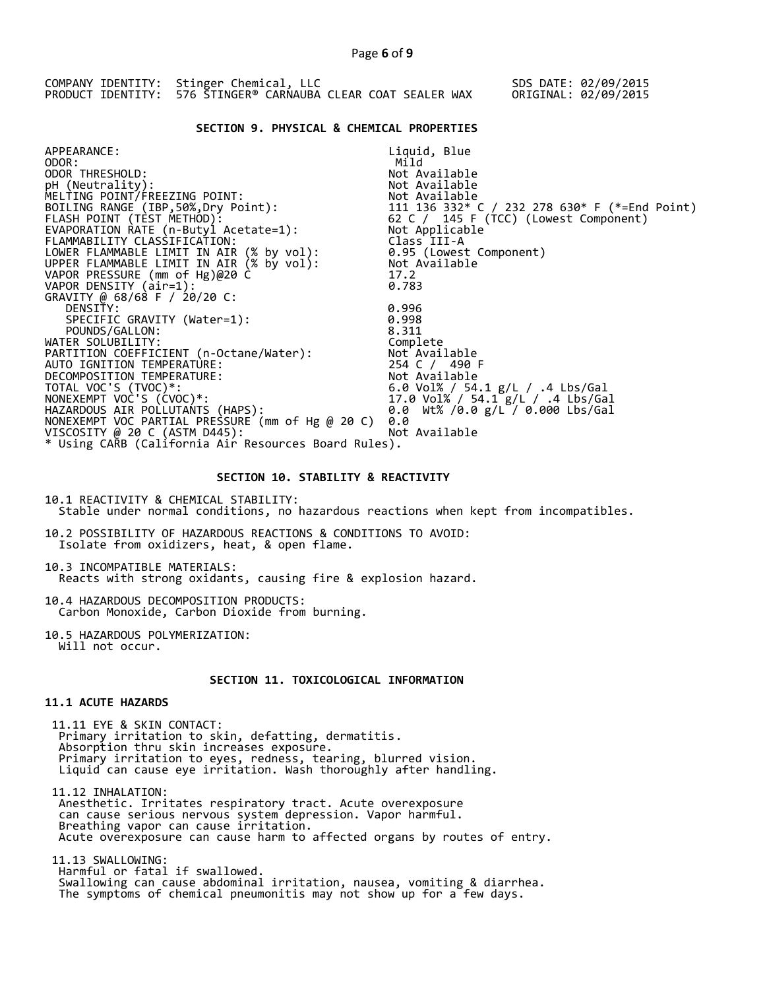|  | COMPANY IDENTITY: Stinger Chemical, LLC<br>PRODUCT IDENTITY: 576 STINGER® CARNAUBA CLEAR COAT SEALER WAX |  |  |  | SDS DATE: 02/09/2015<br>ORIGINAL: 02/09/2015 |
|--|----------------------------------------------------------------------------------------------------------|--|--|--|----------------------------------------------|
|  |                                                                                                          |  |  |  |                                              |

### **SECTION 9. PHYSICAL & CHEMICAL PROPERTIES**

| APPEARANCE:                                            | Liquid, Blue                                                                                                |
|--------------------------------------------------------|-------------------------------------------------------------------------------------------------------------|
| ODOR:                                                  | Mild                                                                                                        |
| ODOR THRESHOLD:                                        | Not Available                                                                                               |
| pH (Neutrality):                                       | Not Available                                                                                               |
| MELTING POINT/FREEZING POINT:                          |                                                                                                             |
| BOILING RANGE (IBP, 50%, Dry Point):                   |                                                                                                             |
| FLASH POINT (TEST METHOD):                             | Not Available<br>111  136  332* C / 232  278  630* F (*=End Point)<br>62 C / 145 F (TCC) (Lowest Component) |
| EVAPORATION RATE (n-Butyl Acetate=1):                  | Not Applicable                                                                                              |
| FLAMMABILITY CLASSIFICATION:                           | Class III-A                                                                                                 |
| LOWER FLAMMABLE LIMIT IN AIR (% by vol):               | 0.95 (Lowest Component)                                                                                     |
| UPPER FLAMMABLE LIMIT IN AIR $(x\;$ by $\text{vol})$ : | Not Available                                                                                               |
| VAPOR PRESSURE (mm of Hg)@20 C                         | 17.2                                                                                                        |
| VAPOR DENSITY (air=1):                                 | 0.783                                                                                                       |
| GRAVITY @ 68/68 F / 20/20 C:                           |                                                                                                             |
| DENSITY:                                               | 0.996                                                                                                       |
| SPECIFIC GRAVITY (Water=1):                            | 0.998                                                                                                       |
| POUNDS/GALLON:                                         | 8.311                                                                                                       |
| WATER SOLUBILITY:                                      | Complete                                                                                                    |
| PARTITION COEFFICIENT (n-Octane/Water):                | Not Available                                                                                               |
| AUTO IGNITION TEMPERATURE:                             | 254 C / 490 F                                                                                               |
| DECOMPOSITION TEMPERATURE:                             | Not Available                                                                                               |
| TOTAL VOC'S (TVOC)*:                                   | 6.0 Vol% / 54.1 g/L / .4 Lbs/Gal<br>17.0 Vol% / 54.1 g/L / .4 Lbs/Gal                                       |
| NONEXEMPT VOC'S (CVOC)*:                               | 17.0 Vol% / 54.1 g/L / .4 Lbs/Gal                                                                           |
| HAZARDOUS AIR POLLUTANTS (HAPS):                       | 0.0 Wt% /0.0 g/L / 0.000 Lbs/Gal                                                                            |
| NONEXEMPT VOC PARTIAL PRESSURE (mm of Hg @ 20 C)       | 0.0                                                                                                         |
| VISCOSITY @ 20 C (ASTM D445):                          | Not Available                                                                                               |
| * Using CARB (California Air Resources Board Rules).   |                                                                                                             |
|                                                        |                                                                                                             |

### **SECTION 10. STABILITY & REACTIVITY**

10.1 REACTIVITY & CHEMICAL STABILITY: Stable under normal conditions, no hazardous reactions when kept from incompatibles.

10.2 POSSIBILITY OF HAZARDOUS REACTIONS & CONDITIONS TO AVOID: Isolate from oxidizers, heat, & open flame.

10.3 INCOMPATIBLE MATERIALS: Reacts with strong oxidants, causing fire & explosion hazard.

10.4 HAZARDOUS DECOMPOSITION PRODUCTS: Carbon Monoxide, Carbon Dioxide from burning.

10.5 HAZARDOUS POLYMERIZATION: Will not occur.

# **SECTION 11. TOXICOLOGICAL INFORMATION**

# **11.1 ACUTE HAZARDS**

 11.11 EYE & SKIN CONTACT: Primary irritation to skin, defatting, dermatitis. Absorption thru skin increases exposure. Primary irritation to eyes, redness, tearing, blurred vision. Liquid can cause eye irritation. Wash thoroughly after handling.

 11.12 INHALATION: Anesthetic. Irritates respiratory tract. Acute overexposure can cause serious nervous system depression. Vapor harmful. Breathing vapor can cause irritation. Acute overexposure can cause harm to affected organs by routes of entry.

 11.13 SWALLOWING: Harmful or fatal if swallowed. Swallowing can cause abdominal irritation, nausea, vomiting & diarrhea. The symptoms of chemical pneumonitis may not show up for a few days.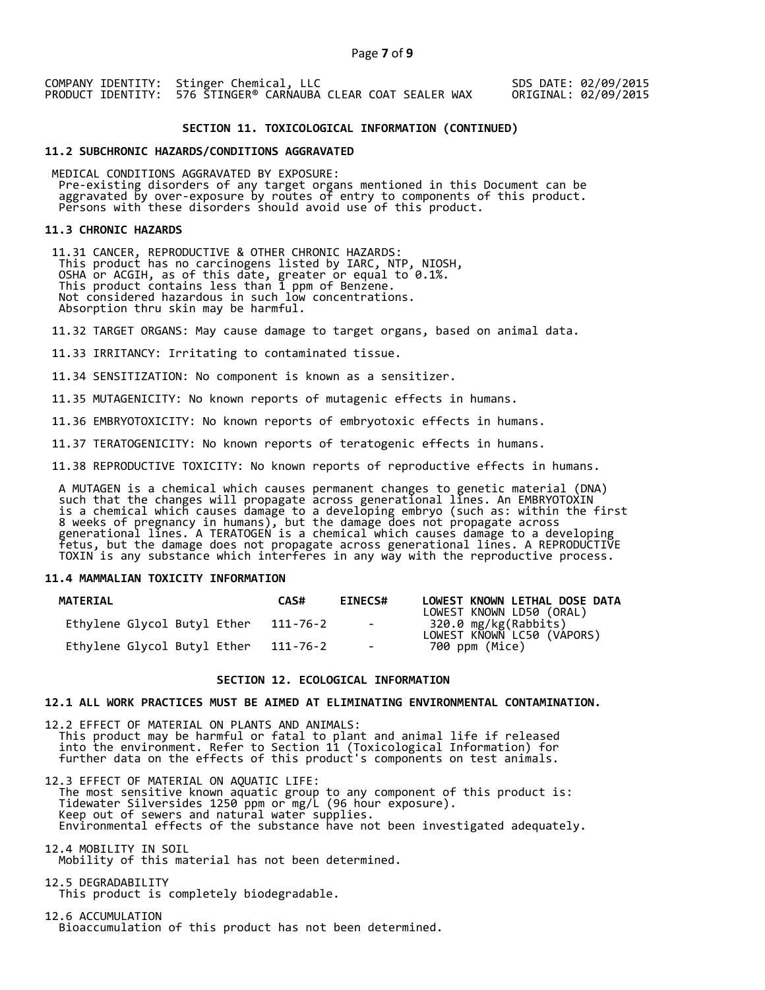### **SECTION 11. TOXICOLOGICAL INFORMATION (CONTINUED)**

#### **11.2 SUBCHRONIC HAZARDS/CONDITIONS AGGRAVATED**

 MEDICAL CONDITIONS AGGRAVATED BY EXPOSURE: Pre-existing disorders of any target organs mentioned in this Document can be aggravated by over-exposure by routes of entry to components of this product. Persons with these disorders should avoid use of this product.

#### **11.3 CHRONIC HAZARDS**

 11.31 CANCER, REPRODUCTIVE & OTHER CHRONIC HAZARDS: This product has no carcinogens listed by IARC, NTP, NIOSH, OSHA or ACGIH, as of this date, greater or equal to 0.1%. This product contains less than 1 ppm of Benzene. Not considered hazardous in such low concentrations. Absorption thru skin may be harmful.

11.32 TARGET ORGANS: May cause damage to target organs, based on animal data.

11.33 IRRITANCY: Irritating to contaminated tissue.

11.34 SENSITIZATION: No component is known as a sensitizer.

11.35 MUTAGENICITY: No known reports of mutagenic effects in humans.

11.36 EMBRYOTOXICITY: No known reports of embryotoxic effects in humans.

11.37 TERATOGENICITY: No known reports of teratogenic effects in humans.

11.38 REPRODUCTIVE TOXICITY: No known reports of reproductive effects in humans.

 A MUTAGEN is a chemical which causes permanent changes to genetic material (DNA) such that the changes will propagate across generational lines. An EMBRYOTOXIN is a chemical which causes damage to a developing embryo (such as: within the first 8 weeks of pregnancy in humans), but the damage does not propagate across generational lines. A TERATOGEN is a chemical which causes damage to a developing fetus, but the damage does not propagate across generational lines. A REPRODUCTIVE TOXIN is any substance which interferes in any way with the reproductive process.

### **11.4 MAMMALIAN TOXICITY INFORMATION**

| <b>MATERIAL</b>             | CAS#     | <b>EINECS#</b> | LOWEST KNOWN LETHAL DOSE DATA<br>LOWEST KNOWN LD50 (ORAL) |
|-----------------------------|----------|----------------|-----------------------------------------------------------|
| Ethylene Glycol Butyl Ether | 111-76-2 | $\sim$ $-$     | 320.0 mg/kg(Rabbits)<br>LOWEST KNOWN LC50 (VAPORS)        |
| Ethylene Glycol Butyl Ether | 111-76-2 | $\sim$         | 700 ppm (Mice)                                            |

### **SECTION 12. ECOLOGICAL INFORMATION**

#### **12.1 ALL WORK PRACTICES MUST BE AIMED AT ELIMINATING ENVIRONMENTAL CONTAMINATION.**

12.2 EFFECT OF MATERIAL ON PLANTS AND ANIMALS: This product may be harmful or fatal to plant and animal life if released into the environment. Refer to Section 11 (Toxicological Information) for further data on the effects of this product's components on test animals.

12.3 EFFECT OF MATERIAL ON AQUATIC LIFE: The most sensitive known aquatic group to any component of this product is: Tidewater Silversides 1250 ppm or mg/L (96 hour exposure). Keep out of sewers and natural water supplies. Environmental effects of the substance have not been investigated adequately.

12.4 MOBILITY IN SOIL Mobility of this material has not been determined.

12.5 DEGRADABILITY This product is completely biodegradable.

12.6 ACCUMULATION Bioaccumulation of this product has not been determined.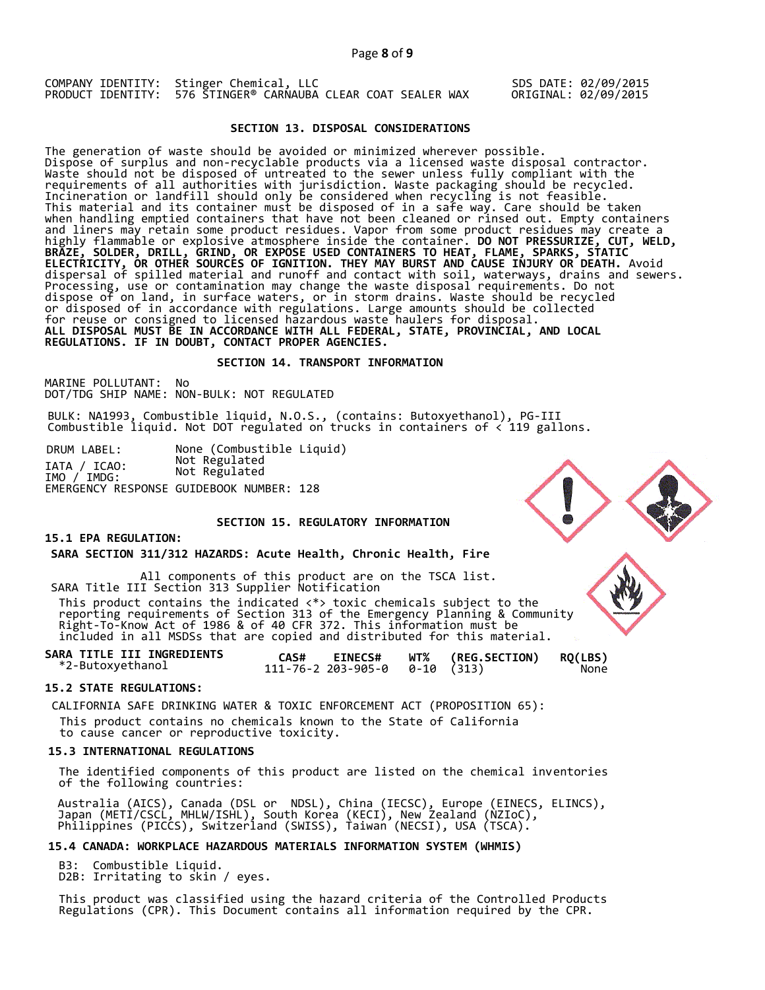### **SECTION 13. DISPOSAL CONSIDERATIONS**

The generation of waste should be avoided or minimized wherever possible. Dispose of surplus and non-recyclable products via a licensed waste disposal contractor. Waste should not be disposed of untreated to the sewer unless fully compliant with the requirements of all authorities with jurisdiction. Waste packaging should be recycled. Incineration or landfill should only be considered when recycling is not feasible. This material and its container must be disposed of in a safe way. Care should be taken when handling emptied containers that have not been cleaned or rinsed out. Empty containers and liners may retain some product residues. Vapor from some product residues may create a highly flammable or explosive atmosphere inside the container. **DO NOT PRESSURIZE, CUT, WELD, BRAZE, SOLDER, DRILL, GRIND, OR EXPOSE USED CONTAINERS TO HEAT, FLAME, SPARKS, STATIC ELECTRICITY, OR OTHER SOURCES OF IGNITION. THEY MAY BURST AND CAUSE INJURY OR DEATH.** Avoid dispersal of spilled material and runoff and contact with soil, waterways, drains and sewers. Processing, use or contamination may change the waste disposal requirements. Do not dispose of on land, in surface waters, or in storm drains. Waste should be recycled or disposed of in accordance with regulations. Large amounts should be collected for reuse or consigned to licensed hazardous waste haulers for disposal. **ALL DISPOSAL MUST BE IN ACCORDANCE WITH ALL FEDERAL, STATE, PROVINCIAL, AND LOCAL REGULATIONS. IF IN DOUBT, CONTACT PROPER AGENCIES.** 

#### **SECTION 14. TRANSPORT INFORMATION**

MARINE POLLUTANT: No DOT/TDG SHIP NAME: NON-BULK: NOT REGULATED

BULK: NA1993, Combustible liquid, N.O.S., (contains: Butoxyethanol), PG-III Combustible liquid. Not DOT regulated on trucks in containers of < 119 gallons.

DRUM LABEL: None (Combustible Liquid) IATA / ICAO: Not Regulated IMO / IMDG: Not Regulated EMERGENCY RESPONSE GUIDEBOOK NUMBER: 128

# **SECTION 15. REGULATORY INFORMATION**

# **15.1 EPA REGULATION:**

**SARA SECTION 311/312 HAZARDS: Acute Health, Chronic Health, Fire** 

All components of this product are on the TSCA list. SARA Title III Section 313 Supplier Notification

 This product contains the indicated <\*> toxic chemicals subject to the reporting requirements of Section 313 of the Emergency Planning & Community Right-To-Know Act of 1986 & of 40 CFR 372. This information must be included in all MSDSs that are copied and distributed for this material.

| SARA TITLE III INGREDIENTS | CAS# | <b>EINECS#</b> | WT% (REG.SECTION) RQ(LBS) |      |
|----------------------------|------|----------------|---------------------------|------|
| *2-Butoxyethanol           |      |                |                           | None |

### **15.2 STATE REGULATIONS:**

CALIFORNIA SAFE DRINKING WATER & TOXIC ENFORCEMENT ACT (PROPOSITION 65):

This product contains no chemicals known to the State of California

to cause cancer or reproductive toxicity.

# **15.3 INTERNATIONAL REGULATIONS**

 The identified components of this product are listed on the chemical inventories of the following countries:

 Australia (AICS), Canada (DSL or NDSL), China (IECSC), Europe (EINECS, ELINCS), Japan (METI/CSCL, MHLW/ISHL), South Korea (KECI), New Zealand (NZIoC), Philippines (PICCS), Switzerland (SWISS), Taiwan (NECSI), USA (TSCA).

# **15.4 CANADA: WORKPLACE HAZARDOUS MATERIALS INFORMATION SYSTEM (WHMIS)**

 B3: Combustible Liquid. D2B: Irritating to skin / eyes.

 This product was classified using the hazard criteria of the Controlled Products Regulations (CPR). This Document contains all information required by the CPR.